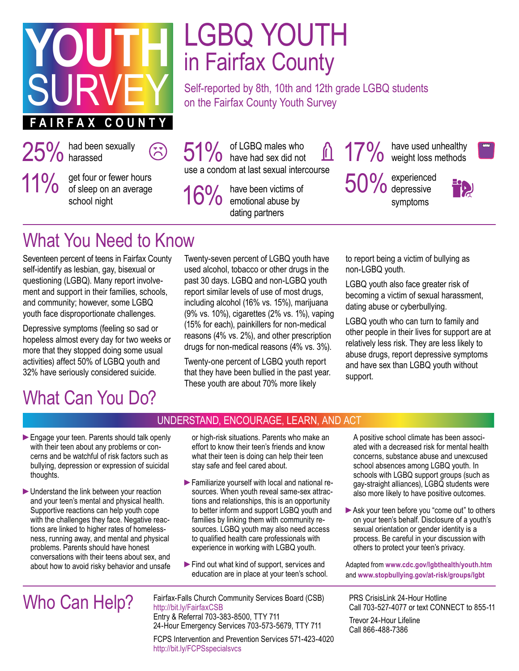

### **RFAX COU**

25% had been sexually<br>25% harassed

ි

11% get four or fewer hours<br>of sleep on an average school night

# LGBQ YOUTH in Fairfax County

Self-reported by 8th, 10th and 12th grade LGBQ students on the Fairfax County Youth Survey

51% of LGBQ males who<br>have had sex did not use a condom at last sexual intercourse

16% have been victims of<br>motional abuse by dating partners

 $\mathbf{r}$ 

17% have used unhealthy<br> **17%** weight loss methods

50% experienced symptoms



### What You Need to Know

Seventeen percent of teens in Fairfax County self-identify as lesbian, gay, bisexual or questioning (LGBQ). Many report involvement and support in their families, schools, and community; however, some LGBQ youth face disproportionate challenges.

Depressive symptoms (feeling so sad or hopeless almost every day for two weeks or more that they stopped doing some usual activities) affect 50% of LGBQ youth and 32% have seriously considered suicide.

Twenty-seven percent of LGBQ youth have used alcohol, tobacco or other drugs in the past 30 days. LGBQ and non-LGBQ youth report similar levels of use of most drugs, including alcohol (16% vs. 15%), marijuana (9% vs. 10%), cigarettes (2% vs. 1%), vaping (15% for each), painkillers for non-medical reasons (4% vs. 2%), and other prescription drugs for non-medical reasons (4% vs. 3%).

Twenty-one percent of LGBQ youth report that they have been bullied in the past year. These youth are about 70% more likely

to report being a victim of bullying as non-LGBQ youth.

LGBQ youth also face greater risk of becoming a victim of sexual harassment, dating abuse or cyberbullying.

LGBQ youth who can turn to family and other people in their lives for support are at relatively less risk. They are less likely to abuse drugs, report depressive symptoms and have sex than LGBQ youth without support.

### What Can You Do?

#### UNDERSTAND, ENCOURAGE, LEARN, AND ACT

- cerns and be watchful of risk factors such as ► Engage your teen. Parents should talk openly Percent<br>Percent<br>Percent with their teen about any problems or conbullying, depression or expression of suicidal thoughts.
- Supportive reactions can help youth cope ► Understand the link between your reaction problems. Parents should have honest conversations with their teens about sex, and (30 Days) about how to avoid risky behavior and unsafe and your teen's mental and physical health. with the challenges they face. Negative reactions are linked to higher rates of homelessness, running away, and mental and physical

or high-risk situations. Parents who make an effort to know their teen's friends and know what their teen is doing can help their teen stay safe and feel cared about.

- ative reac- families by linking them with community resources. LGBQ youth may also need access experience in working with LGBQ youth. ► Familiarize yourself with local and national resources. When youth reveal same-sex attractions and relationships, this is an opportunity to better inform and support LGBQ youth and to qualified health care professionals with
	- $\blacktriangleright$  Find out what kind of support, services and education are in place at your teen's school.

Who Can Help? Fairfax-Falls Church Community Services Board (CSB) http://bit.ly/FairfaxCSB Entry & Referral 703-383-8500, TTY 711 24-Hour Emergency Services 703-573-5679, TTY 711

FCPS Intervention and Prevention Services 571-423-4020 http://bit.ly/FCPSspecialsvcs

A positive school climate has been associated with a decreased risk for mental health concerns, substance abuse and unexcused school absences among LGBQ youth. In schools with LGBQ support groups (such as gay-straight alliances), LGBQ students were also more likely to have positive outcomes.

►Ask your teen before you "come out" to others on your teen's behalf. Disclosure of a youth's sexual orientation or gender identity is a process. Be careful in your discussion with others to protect your teen's privacy.

Adapted from www.cdc.gov/lgbthealth/youth.htm and **[www.stopbullying.gov/at-risk/groups/lgbt](https://www.stopbullying.gov/bullying/lgbtq)**

PRS CrisisLink 24-Hour Hotline Call 703-527-4077 or text CONNECT to 855-11

Trevor 24-Hour Lifeline Call 866-488-7386